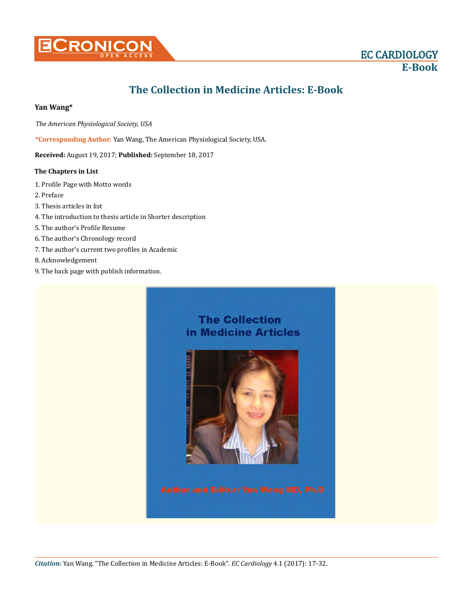

# **The Collection in Medicine Articles: E-Book**

# **Yan Wang\***

*The American Physiological Society, USA* 

**\*Corresponding Author**: Yan Wang, The American Physiological Society, USA.

**Received:** August 19, 2017; **Published:** September 18, 2017

# **The Chapters in List**

- 1. Profile Page with Motto words
- 2. Preface
- 3. Thesis articles in list
- 4. The introduction to thesis article in Shorter description
- 5. The author's Profile Resume
- 6. The author's Chronology record
- 7. The author's current two profiles in Academic
- 8. Acknowledgement
- 9. The back page with publish information.

# **The Collection** in Medicine Articles

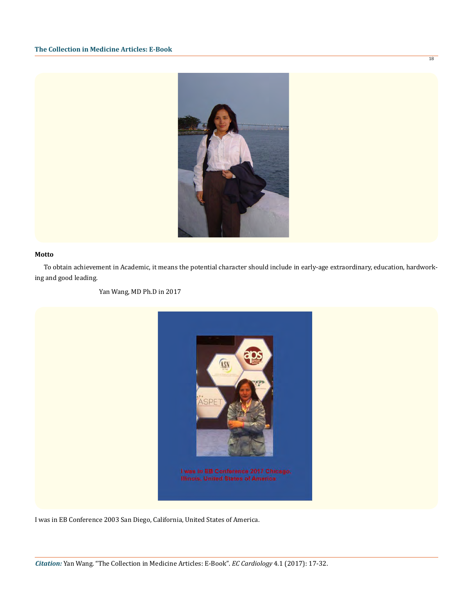

# **Motto**

To obtain achievement in Academic, it means the potential character should include in early-age extraordinary, education, hardworking and good leading.

Yan Wang, MD Ph.D in 2017



I was in EB Conference 2003 San Diego, California, United States of America.

18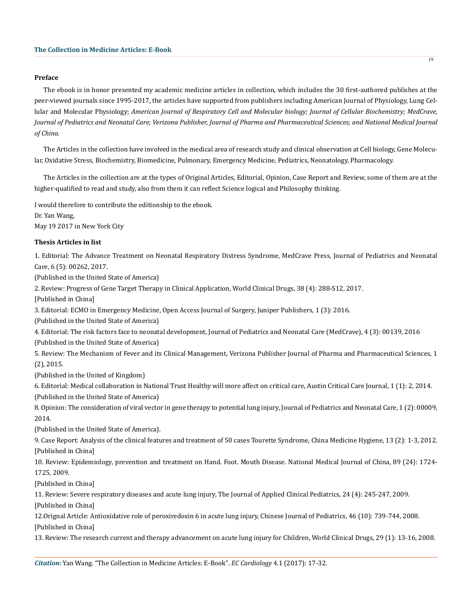#### **Preface**

The ebook is in honor presented my academic medicine articles in collection, which includes the 30 first-authored publishes at the peer-viewed journals since 1995-2017, the articles have supported from publishers including American Journal of Physiology, Lung Cellular and Molecular Physiology; *American Journal of Respiratory Cell and Molecular biology; Journal of Cellular Biochemistry; MedCrave, Journal of Pediatrics and Neonatal Care; Verizona Publisher, Journal of Pharma and Pharmaceutical Sciences; and National Medical Journal of China*.

The Articles in the collection have involved in the medical area of research study and clinical observation at Cell biology, Gene Molecular, Oxidative Stress, Biochemistry, Biomedicine, Pulmonary, Emergency Medicine, Pediatrics, Neonatology, Pharmacology.

The Articles in the collection are at the types of Original Articles, Editorial, Opinion, Case Report and Review, some of them are at the higher-qualified to read and study, also from them it can reflect Science logical and Philosophy thinking.

I would therefore to contribute the editionship to the ebook.

Dr. Yan Wang, May 19 2017 in New York City

# **Thesis Articles in list**

1. Editorial: The Advance Treatment on Neonatal Respiratory Distress Syndrome, MedCrave Press, Journal of Pediatrics and Neonatal Care, 6 (5): 00262, 2017.

(Published in the United State of America)

2. Review: Progress of Gene Target Therapy in Clinical Application, World Clinical Drugs, 38 (4): 288-S12, 2017.

[Published in China]

3. Editorial: ECMO in Emergency Medicine, Open Access Journal of Surgery, Juniper Publishers, 1 (3): 2016.

(Published in the United State of America)

4. Editorial: The risk factors face to neonatal development, Journal of Pediatrics and Neonatal Care (MedCrave), 4 (3): 00139, 2016

(Published in the United State of America)

5. Review: The Mechanism of Fever and its Clinical Management, Verizona Publisher Journal of Pharma and Pharmaceutical Sciences, 1 (2), 2015.

(Published in the United of Kingdom)

6. Editorial: Medical collaboration in National Trust Healthy will more affect on critical care, Austin Critical Care Journal, 1 (1): 2, 2014.

(Published in the United State of America)

8. Opinion: The consideration of viral vector in gene therapy to potential lung injury, Journal of Pediatrics and Neonatal Care, 1 (2): 00009, 2014.

(Published in the United State of America).

9. Case Report: Analysis of the clinical features and treatment of 50 cases Tourette Syndrome, China Medicine Hygiene, 13 (2): 1-3, 2012. [Published in China]

10. Review: Epidemiology, prevention and treatment on Hand. Foot. Mouth Disease. National Medical Journal of China, 89 (24): 1724- 1725, 2009.

[Published in China]

11. Review: Severe respiratory diseases and acute lung injury, The Journal of Applied Clinical Pediatrics, 24 (4): 245-247, 2009.

[Published in China]

12.Orignal Article: Antioxidative role of peroxiredoxin 6 in acute lung injury, Chinese Journal of Pediatrics, 46 (10): 739-744, 2008. [Published in China]

13. Review: The research current and therapy advancement on acute lung injury for Children, World Clinical Drugs, 29 (1): 13-16, 2008.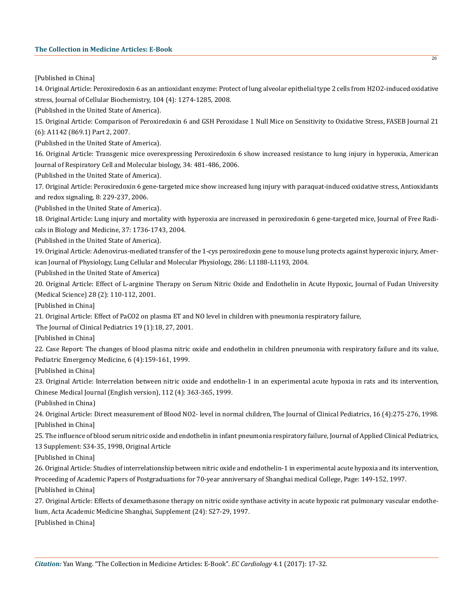[Published in China]

14. Original Article: Peroxiredoxin 6 as an antioxidant enzyme: Protect of lung alveolar epithelial type 2 cells from H2O2-induced oxidative stress, Journal of Cellular Biochemistry, 104 (4): 1274-1285, 2008.

(Published in the United State of America).

15. Original Article: Comparison of Peroxiredoxin 6 and GSH Peroxidase 1 Null Mice on Sensitivity to Oxidative Stress, FASEB Journal 21 (6): A1142 (869.1) Part 2, 2007.

(Published in the United State of America).

16. Original Article: Transgenic mice overexpressing Peroxiredoxin 6 show increased resistance to lung injury in hyperoxia, American Journal of Respiratory Cell and Molecular biology, 34: 481-486, 2006.

(Published in the United State of America).

17. Original Article: Peroxiredoxin 6 gene-targeted mice show increased lung injury with paraquat-induced oxidative stress, Antioxidants and redox signaling, 8: 229-237, 2006.

(Published in the United State of America).

18. Original Article: Lung injury and mortality with hyperoxia are increased in peroxiredoxin 6 gene-targeted mice, Journal of Free Radicals in Biology and Medicine, 37: 1736-1743, 2004.

(Published in the United State of America).

19. Original Article: Adenovirus-mediated transfer of the 1-cys peroxiredoxin gene to mouse lung protects against hyperoxic injury, American Journal of Physiology, Lung Cellular and Molecular Physiology, 286: L1188-L1193, 2004.

(Published in the United State of America)

20. Original Article: Effect of L-arginine Therapy on Serum Nitric Oxide and Endothelin in Acute Hypoxic, Journal of Fudan University (Medical Science) 28 (2): 110-112, 2001.

[Published in China]

21. Original Article: Effect of PaCO2 on plasma ET and NO level in children with pneumonia respiratory failure,

The Journal of Clinical Pediatrics 19 (1):18, 27, 2001.

[Published in China]

22. Case Report: The changes of blood plasma nitric oxide and endothelin in children pneumonia with respiratory failure and its value, Pediatric Emergency Medicine, 6 (4):159-161, 1999.

[Published in China]

23. Original Article: Interrelation between nitric oxide and endothelin-1 in an experimental acute hypoxia in rats and its intervention, Chinese Medical Journal (English version), 112 (4): 363-365, 1999.

(Published in China)

24. Original Article: Direct measurement of Blood NO2- level in normal children, The Journal of Clinical Pediatrics, 16 (4):275-276, 1998. [Published in China]

25. The influence of blood serum nitric oxide and endothelin in infant pneumonia respiratory failure, Journal of Applied Clinical Pediatrics, 13 Supplement: S34-35, 1998, Original Article

[Published in China]

26. Original Article: Studies of interrelationship between nitric oxide and endothelin-1 in experimental acute hypoxia and its intervention, Proceeding of Academic Papers of Postgraduations for 70-year anniversary of Shanghai medical College, Page: 149-152, 1997. [Published in China]

27. Original Article: Effects of dexamethasone therapy on nitric oxide synthase activity in acute hypoxic rat pulmonary vascular endothelium, Acta Academic Medicine Shanghai, Supplement (24): S27-29, 1997.

[Published in China]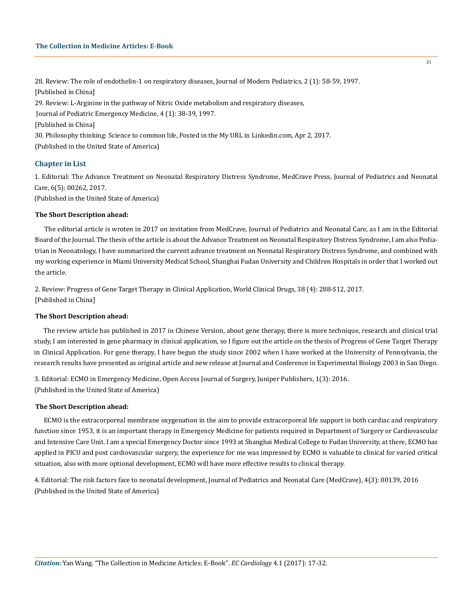28. Review: The role of endothelin-1 on respiratory diseases, Journal of Modern Pediatrics, 2 (1): 58-59, 1997. [Published in China] 29. Review: L-Arginine in the pathway of Nitric Oxide metabolism and respiratory diseases, Journal of Pediatric Emergency Medicine, 4 (1): 38-39, 1997. [Published in China] 30. Philosophy thinking: Science to common life, Posted in the My URL in Linkedin.com, Apr 2, 2017. (Published in the United State of America)

# **Chapter in List**

1. Editorial: The Advance Treatment on Neonatal Respiratory Distress Syndrome, MedCrave Press, Journal of Pediatrics and Neonatal Care, 6(5): 00262, 2017.

(Published in the United State of America)

# **The Short Description ahead:**

The editorial article is wroten in 2017 on invitation from MedCrave, Journal of Pediatrics and Neonatal Care, as I am in the Editorial Board of the Journal. The thesis of the article is about the Advance Treatment on Neonatal Respiratory Distress Syndrome, I am also Pediatrian in Neonatology, I have summarized the current advance treatment on Neonatal Respiratory Distress Syndrome, and combined with my working experience in Miami University Medical School, Shanghai Fudan University and Children Hospitals in order that I worked out the article.

2. Review: Progress of Gene Target Therapy in Clinical Application, World Clinical Drugs, 38 (4): 288-S12, 2017. [Published in China]

# **The Short Description ahead:**

The review article has published in 2017 in Chinese Version, about gene therapy, there is more technique, research and clinical trial study, I am interested in gene pharmacy in clinical application, so I figure out the article on the thesis of Progress of Gene Target Therapy in Clinical Application. For gene therapy, I have begun the study since 2002 when I have worked at the University of Pennsylvania, the research results have presented as original article and new release at Journal and Conference in Experimental Biology 2003 in San Diego.

3. Editorial: ECMO in Emergency Medicine, Open Access Journal of Surgery, Juniper Publishers, 1(3): 2016. (Published in the United State of America)

# **The Short Description ahead:**

ECMO is the extracorporeal membrane oxygenation in the aim to provide extracorporeal life support in both cardiac and respiratory function since 1953, it is an important therapy in Emergency Medicine for patients required in Department of Surgery or Cardiovascular and Intensive Care Unit. I am a special Emergency Doctor since 1993 at Shanghai Medical College to Fudan University, at there, ECMO has applied in PICU and post cardiovascular surgery, the experience for me was impressed by ECMO is valuable to clinical for varied critical situation, also with more optional development, ECMO will have more effective results to clinical therapy.

4. Editorial: The risk factors face to neonatal development, Journal of Pediatrics and Neonatal Care (MedCrave), 4(3): 00139, 2016 (Published in the United State of America)

21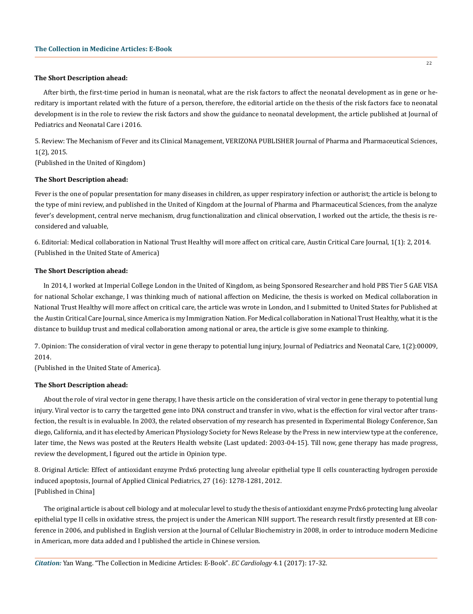#### **The Short Description ahead:**

After birth, the first-time period in human is neonatal, what are the risk factors to affect the neonatal development as in gene or hereditary is important related with the future of a person, therefore, the editorial article on the thesis of the risk factors face to neonatal development is in the role to review the risk factors and show the guidance to neonatal development, the article published at Journal of Pediatrics and Neonatal Care i 2016.

5. Review: The Mechanism of Fever and its Clinical Management, VERIZONA PUBLISHER Journal of Pharma and Pharmaceutical Sciences, 1(2), 2015.

(Published in the United of Kingdom)

## **The Short Description ahead:**

Fever is the one of popular presentation for many diseases in children, as upper respiratory infection or authorist; the article is belong to the type of mini review, and published in the United of Kingdom at the Journal of Pharma and Pharmaceutical Sciences, from the analyze fever's development, central nerve mechanism, drug functionalization and clinical observation, I worked out the article, the thesis is reconsidered and valuable,

6. Editorial: Medical collaboration in National Trust Healthy will more affect on critical care, Austin Critical Care Journal, 1(1): 2, 2014. (Published in the United State of America)

# **The Short Description ahead:**

In 2014, I worked at Imperial College London in the United of Kingdom, as being Sponsored Researcher and hold PBS Tier 5 GAE VISA for national Scholar exchange, I was thinking much of national affection on Medicine, the thesis is worked on Medical collaboration in National Trust Healthy will more affect on critical care, the article was wrote in London, and I submitted to United States for Published at the Austin Critical Care Journal, since America is my Immigration Nation. For Medical collaboration in National Trust Healthy, what it is the distance to buildup trust and medical collaboration among national or area, the article is give some example to thinking.

7. Opinion: The consideration of viral vector in gene therapy to potential lung injury, Journal of Pediatrics and Neonatal Care, 1(2):00009, 2014.

(Published in the United State of America).

# **The Short Description ahead:**

About the role of viral vector in gene therapy, I have thesis article on the consideration of viral vector in gene therapy to potential lung injury. Viral vector is to carry the targetted gene into DNA construct and transfer in vivo, what is the effection for viral vector after transfection, the result is in evaluable. In 2003, the related observation of my research has presented in Experimental Biology Conference, San diego, California, and it has elected by American Physiology Society for News Release by the Press in new interview type at the conference, later time, the News was posted at the Reuters Health website (Last updated: 2003-04-15). Till now, gene therapy has made progress, review the development, I figured out the article in Opinion type.

8. Original Article: Effect of antioxidant enzyme Prdx6 protecting lung alveolar epithelial type II cells counteracting hydrogen peroxide induced apoptosis, Journal of Applied Clinical Pediatrics, 27 (16): 1278-1281, 2012. [Published in China]

The original article is about cell biology and at molecular level to study the thesis of antioxidant enzyme Prdx6 protecting lung alveolar epithelial type II cells in oxidative stress, the project is under the American NIH support. The research result firstly presented at EB conference in 2006, and published in English version at the Journal of Cellular Biochemistry in 2008, in order to introduce modern Medicine in American, more data added and I published the article in Chinese version.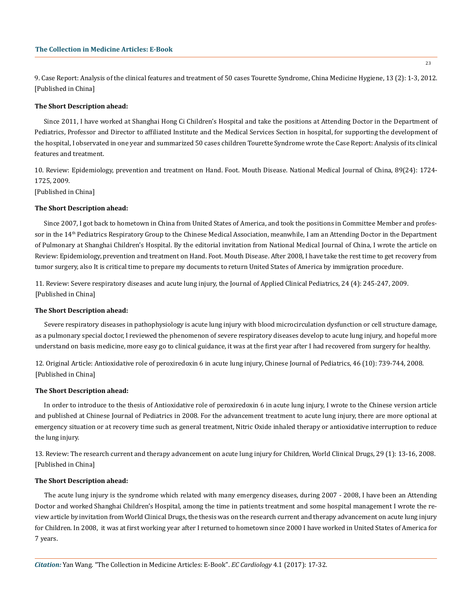9. Case Report: Analysis of the clinical features and treatment of 50 cases Tourette Syndrome, China Medicine Hygiene, 13 (2): 1-3, 2012. [Published in China]

## **The Short Description ahead:**

Since 2011, I have worked at Shanghai Hong Ci Children's Hospital and take the positions at Attending Doctor in the Department of Pediatrics, Professor and Director to affiliated Institute and the Medical Services Section in hospital, for supporting the development of the hospital, I observated in one year and summarized 50 cases children Tourette Syndrome wrote the Case Report: Analysis of its clinical features and treatment.

10. Review: Epidemiology, prevention and treatment on Hand. Foot. Mouth Disease. National Medical Journal of China, 89(24): 1724- 1725, 2009.

[Published in China]

## **The Short Description ahead:**

Since 2007, I got back to hometown in China from United States of America, and took the positions in Committee Member and professor in the 14<sup>th</sup> Pediatrics Respiratory Group to the Chinese Medical Association, meanwhile, I am an Attending Doctor in the Department of Pulmonary at Shanghai Children's Hospital. By the editorial invitation from National Medical Journal of China, I wrote the article on Review: Epidemiology, prevention and treatment on Hand. Foot. Mouth Disease. After 2008, I have take the rest time to get recovery from tumor surgery, also It is critical time to prepare my documents to return United States of America by immigration procedure.

11. Review: Severe respiratory diseases and acute lung injury, the Journal of Applied Clinical Pediatrics, 24 (4): 245-247, 2009. [Published in China]

# **The Short Description ahead:**

Severe respiratory diseases in pathophysiology is acute lung injury with blood microcirculation dysfunction or cell structure damage, as a pulmonary special doctor, I reviewed the phenomenon of severe respiratory diseases develop to acute lung injury, and hopeful more understand on basis medicine, more easy go to clinical guidance, it was at the first year after I had recovered from surgery for healthy.

12. Original Article: Antioxidative role of peroxiredoxin 6 in acute lung injury, Chinese Journal of Pediatrics, 46 (10): 739-744, 2008. [Published in China]

## **The Short Description ahead:**

In order to introduce to the thesis of Antioxidative role of peroxiredoxin 6 in acute lung injury, I wrote to the Chinese version article and published at Chinese Journal of Pediatrics in 2008. For the advancement treatment to acute lung injury, there are more optional at emergency situation or at recovery time such as general treatment, Nitric Oxide inhaled therapy or antioxidative interruption to reduce the lung injury.

13. Review: The research current and therapy advancement on acute lung injury for Children, World Clinical Drugs, 29 (1): 13-16, 2008. [Published in China]

# **The Short Description ahead:**

The acute lung injury is the syndrome which related with many emergency diseases, during 2007 - 2008, I have been an Attending Doctor and worked Shanghai Children's Hospital, among the time in patients treatment and some hospital management I wrote the review article by invitation from World Clinical Drugs, the thesis was on the research current and therapy advancement on acute lung injury for Children. In 2008, it was at first working year after I returned to hometown since 2000 I have worked in United States of America for 7 years.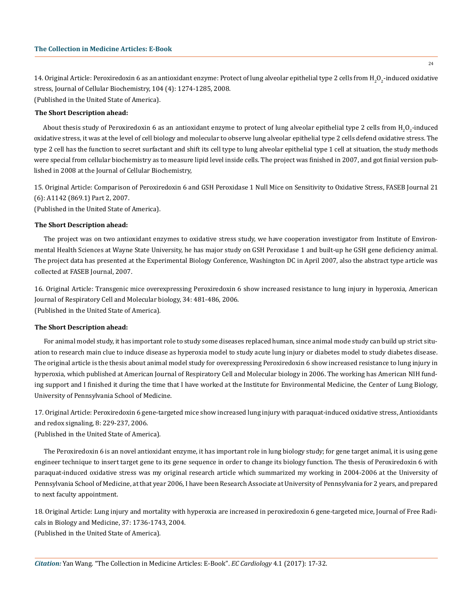14. Original Article: Peroxiredoxin 6 as an antioxidant enzyme: Protect of lung alveolar epithelial type 2 cells from H<sub>2</sub>O<sub>2</sub>-induced oxidative stress, Journal of Cellular Biochemistry, 104 (4): 1274-1285, 2008.

(Published in the United State of America).

# **The Short Description ahead:**

About thesis study of Peroxiredoxin 6 as an antioxidant enzyme to protect of lung alveolar epithelial type 2 cells from  $\rm H_2O_2$ -induced oxidative stress, it was at the level of cell biology and molecular to observe lung alveolar epithelial type 2 cells defend oxidative stress. The type 2 cell has the function to secret surfactant and shift its cell type to lung alveolar epithelial type 1 cell at situation, the study methods were special from cellular biochemistry as to measure lipid level inside cells. The project was finished in 2007, and got finial version published in 2008 at the Journal of Cellular Biochemistry,

15. Original Article: Comparison of Peroxiredoxin 6 and GSH Peroxidase 1 Null Mice on Sensitivity to Oxidative Stress, FASEB Journal 21 (6): A1142 (869.1) Part 2, 2007.

(Published in the United State of America).

# **The Short Description ahead:**

The project was on two antioxidant enzymes to oxidative stress study, we have cooperation investigator from Institute of Environmental Health Sciences at Wayne State University, he has major study on GSH Peroxidase 1 and built-up he GSH gene deficiency animal. The project data has presented at the Experimental Biology Conference, Washington DC in April 2007, also the abstract type article was collected at FASEB Journal, 2007.

16. Original Article: Transgenic mice overexpressing Peroxiredoxin 6 show increased resistance to lung injury in hyperoxia, American Journal of Respiratory Cell and Molecular biology, 34: 481-486, 2006. (Published in the United State of America).

# **The Short Description ahead:**

For animal model study, it has important role to study some diseases replaced human, since animal mode study can build up strict situation to research main clue to induce disease as hyperoxia model to study acute lung injury or diabetes model to study diabetes disease. The original article is the thesis about animal model study for overexpressing Peroxiredoxin 6 show increased resistance to lung injury in hyperoxia, which published at American Journal of Respiratory Cell and Molecular biology in 2006. The working has American NIH funding support and I finished it during the time that I have worked at the Institute for Environmental Medicine, the Center of Lung Biology, University of Pennsylvania School of Medicine.

17. Original Article: Peroxiredoxin 6 gene-targeted mice show increased lung injury with paraquat-induced oxidative stress, Antioxidants and redox signaling, 8: 229-237, 2006.

(Published in the United State of America).

The Peroxiredoxin 6 is an novel antioxidant enzyme, it has important role in lung biology study; for gene target animal, it is using gene engineer technique to insert target gene to its gene sequence in order to change its biology function. The thesis of Peroxiredoxin 6 with paraquat-induced oxidative stress was my original research article which summarized my working in 2004-2006 at the University of Pennsylvania School of Medicine, at that year 2006, I have been Research Associate at University of Pennsylvania for 2 years, and prepared to next faculty appointment.

18. Original Article: Lung injury and mortality with hyperoxia are increased in peroxiredoxin 6 gene-targeted mice, Journal of Free Radicals in Biology and Medicine, 37: 1736-1743, 2004. (Published in the United State of America).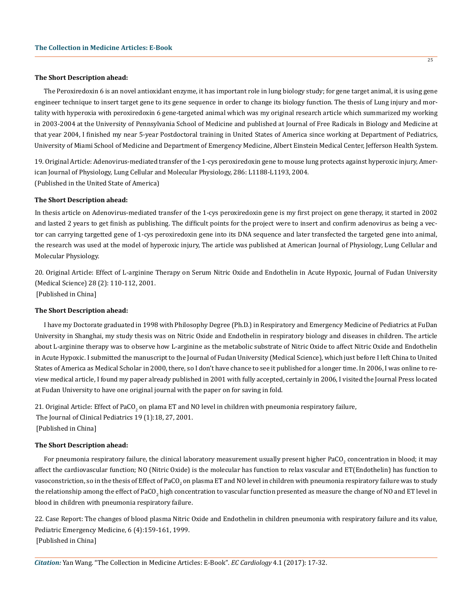#### **The Short Description ahead:**

The Peroxiredoxin 6 is an novel antioxidant enzyme, it has important role in lung biology study; for gene target animal, it is using gene engineer technique to insert target gene to its gene sequence in order to change its biology function. The thesis of Lung injury and mortality with hyperoxia with peroxiredoxin 6 gene-targeted animal which was my original research article which summarized my working in 2003-2004 at the University of Pennsylvania School of Medicine and published at Journal of Free Radicals in Biology and Medicine at that year 2004, I finished my near 5-year Postdoctoral training in United States of America since working at Department of Pediatrics, University of Miami School of Medicine and Department of Emergency Medicine, Albert Einstein Medical Center, Jefferson Health System.

19. Original Article: Adenovirus-mediated transfer of the 1-cys peroxiredoxin gene to mouse lung protects against hyperoxic injury, American Journal of Physiology, Lung Cellular and Molecular Physiology, 286: L1188-L1193, 2004. (Published in the United State of America)

#### **The Short Description ahead:**

In thesis article on Adenovirus-mediated transfer of the 1-cys peroxiredoxin gene is my first project on gene therapy, it started in 2002 and lasted 2 years to get finish as publishing. The difficult points for the project were to insert and confirm adenovirus as being a vector can carrying targetted gene of 1-cys peroxiredoxin gene into its DNA sequence and later transfected the targeted gene into animal, the research was used at the model of hyperoxic injury, The article was published at American Journal of Physiology, Lung Cellular and Molecular Physiology.

20. Original Article: Effect of L-arginine Therapy on Serum Nitric Oxide and Endothelin in Acute Hypoxic, Journal of Fudan University (Medical Science) 28 (2): 110-112, 2001. [Published in China]

# **The Short Description ahead:**

I have my Doctorate graduated in 1998 with Philosophy Degree (Ph.D.) in Respiratory and Emergency Medicine of Pediatrics at FuDan University in Shanghai, my study thesis was on Nitric Oxide and Endothelin in respiratory biology and diseases in children. The article about L-arginine therapy was to observe how L-arginine as the metabolic substrate of Nitric Oxide to affect Nitric Oxide and Endothelin in Acute Hypoxic. I submitted the manuscript to the Journal of Fudan University (Medical Science), which just before I left China to United States of America as Medical Scholar in 2000, there, so I don't have chance to see it published for a longer time. In 2006, I was online to review medical article, I found my paper already published in 2001 with fully accepted, certainly in 2006, I visited the Journal Press located at Fudan University to have one original journal with the paper on for saving in fold.

21. Original Article: Effect of PaCO<sub>2</sub> on plama ET and NO level in children with pneumonia respiratory failure, The Journal of Clinical Pediatrics 19 (1):18, 27, 2001. [Published in China]

#### **The Short Description ahead:**

For pneumonia respiratory failure, the clinical laboratory measurement usually present higher PaCO<sub>2</sub> concentration in blood; it may affect the cardiovascular function; NO (Nitric Oxide) is the molecular has function to relax vascular and ET(Endothelin) has function to vasoconstriction, so in the thesis of Effect of PaCO<sub>2</sub> on plasma ET and NO level in children with pneumonia respiratory failure was to study the relationship among the effect of PaCO<sub>2</sub> high concentration to vascular function presented as measure the change of NO and ET level in blood in children with pneumonia respiratory failure.

22. Case Report: The changes of blood plasma Nitric Oxide and Endothelin in children pneumonia with respiratory failure and its value, Pediatric Emergency Medicine, 6 (4):159-161, 1999. [Published in China]

*Citation:* Yan Wang. "The Collection in Medicine Articles: E-Book". *EC Cardiology* 4.1 (2017): 17-32.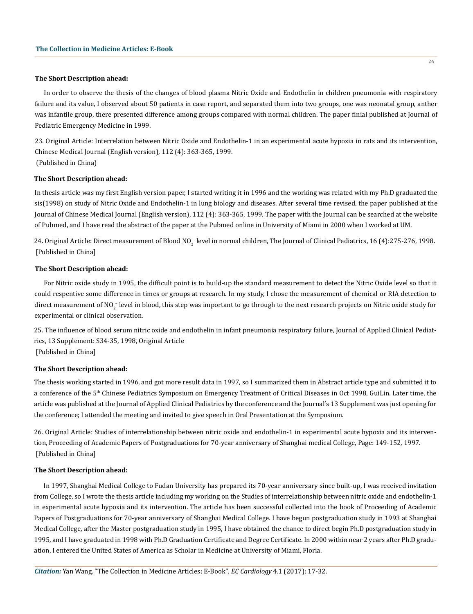## **The Short Description ahead:**

In order to observe the thesis of the changes of blood plasma Nitric Oxide and Endothelin in children pneumonia with respiratory failure and its value, I observed about 50 patients in case report, and separated them into two groups, one was neonatal group, anther was infantile group, there presented difference among groups compared with normal children. The paper finial published at Journal of Pediatric Emergency Medicine in 1999.

23. Original Article: Interrelation between Nitric Oxide and Endothelin-1 in an experimental acute hypoxia in rats and its intervention, Chinese Medical Journal (English version), 112 (4): 363-365, 1999. (Published in China)

## **The Short Description ahead:**

In thesis article was my first English version paper, I started writing it in 1996 and the working was related with my Ph.D graduated the sis(1998) on study of Nitric Oxide and Endothelin-1 in lung biology and diseases. After several time revised, the paper published at the Journal of Chinese Medical Journal (English version), 112 (4): 363-365, 1999. The paper with the Journal can be searched at the website of Pubmed, and I have read the abstract of the paper at the Pubmed online in University of Miami in 2000 when I worked at UM.

24. Original Article: Direct measurement of Blood NO<sub>2</sub> level in normal children, The Journal of Clinical Pediatrics, 16 (4):275-276, 1998. [Published in China]

## **The Short Description ahead:**

For Nitric oxide study in 1995, the difficult point is to build-up the standard measurement to detect the Nitric Oxide level so that it could respentive some difference in times or groups at research. In my study, I chose the measurement of chemical or RIA detection to direct measurement of NO<sub>2</sub> level in blood, this step was important to go through to the next research projects on Nitric oxide study for experimental or clinical observation.

25. The influence of blood serum nitric oxide and endothelin in infant pneumonia respiratory failure, Journal of Applied Clinical Pediatrics, 13 Supplement: S34-35, 1998, Original Article [Published in China]

# **The Short Description ahead:**

The thesis working started in 1996, and got more result data in 1997, so I summarized them in Abstract article type and submitted it to a conference of the 5th Chinese Pediatrics Symposium on Emergency Treatment of Critical Diseases in Oct 1998, GuiLin. Later time, the article was published at the Journal of Applied Clinical Pediatrics by the conference and the Journal's 13 Supplement was just opening for the conference; I attended the meeting and invited to give speech in Oral Presentation at the Symposium.

26. Original Article: Studies of interrelationship between nitric oxide and endothelin-1 in experimental acute hypoxia and its intervention, Proceeding of Academic Papers of Postgraduations for 70-year anniversary of Shanghai medical College, Page: 149-152, 1997. [Published in China]

# **The Short Description ahead:**

In 1997, Shanghai Medical College to Fudan University has prepared its 70-year anniversary since built-up, I was received invitation from College, so I wrote the thesis article including my working on the Studies of interrelationship between nitric oxide and endothelin-1 in experimental acute hypoxia and its intervention. The article has been successful collected into the book of Proceeding of Academic Papers of Postgraduations for 70-year anniversary of Shanghai Medical College. I have begun postgraduation study in 1993 at Shanghai Medical College, after the Master postgraduation study in 1995, I have obtained the chance to direct begin Ph.D postgraduation study in 1995, and I have graduated in 1998 with Ph.D Graduation Certificate and Degree Certificate. In 2000 within near 2 years after Ph.D graduation, I entered the United States of America as Scholar in Medicine at University of Miami, Floria.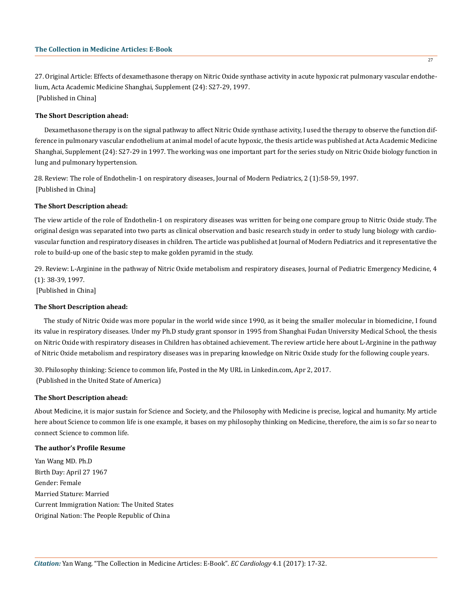27. Original Article: Effects of dexamethasone therapy on Nitric Oxide synthase activity in acute hypoxic rat pulmonary vascular endothelium, Acta Academic Medicine Shanghai, Supplement (24): S27-29, 1997. [Published in China]

# **The Short Description ahead:**

Dexamethasone therapy is on the signal pathway to affect Nitric Oxide synthase activity, I used the therapy to observe the function difference in pulmonary vascular endothelium at animal model of acute hypoxic, the thesis article was published at Acta Academic Medicine Shanghai, Supplement (24): S27-29 in 1997. The working was one important part for the series study on Nitric Oxide biology function in lung and pulmonary hypertension.

28. Review: The role of Endothelin-1 on respiratory diseases, Journal of Modern Pediatrics, 2 (1):58-59, 1997. [Published in China]

## **The Short Description ahead:**

The view article of the role of Endothelin-1 on respiratory diseases was written for being one compare group to Nitric Oxide study. The original design was separated into two parts as clinical observation and basic research study in order to study lung biology with cardiovascular function and respiratory diseases in children. The article was published at Journal of Modern Pediatrics and it representative the role to build-up one of the basic step to make golden pyramid in the study.

29. Review: L-Arginine in the pathway of Nitric Oxide metabolism and respiratory diseases, Journal of Pediatric Emergency Medicine, 4 (1): 38-39, 1997.

[Published in China]

# **The Short Description ahead:**

The study of Nitric Oxide was more popular in the world wide since 1990, as it being the smaller molecular in biomedicine, I found its value in respiratory diseases. Under my Ph.D study grant sponsor in 1995 from Shanghai Fudan University Medical School, the thesis on Nitric Oxide with respiratory diseases in Children has obtained achievement. The review article here about L-Arginine in the pathway of Nitric Oxide metabolism and respiratory diseases was in preparing knowledge on Nitric Oxide study for the following couple years.

30. Philosophy thinking: Science to common life, Posted in the My URL in Linkedin.com, Apr 2, 2017. (Published in the United State of America)

# **The Short Description ahead:**

About Medicine, it is major sustain for Science and Society, and the Philosophy with Medicine is precise, logical and humanity. My article here about Science to common life is one example, it bases on my philosophy thinking on Medicine, therefore, the aim is so far so near to connect Science to common life.

#### **The author's Profile Resume**

Yan Wang MD. Ph.D Birth Day: April 27 1967 Gender: Female Married Stature: Married Current Immigration Nation: The United States Original Nation: The People Republic of China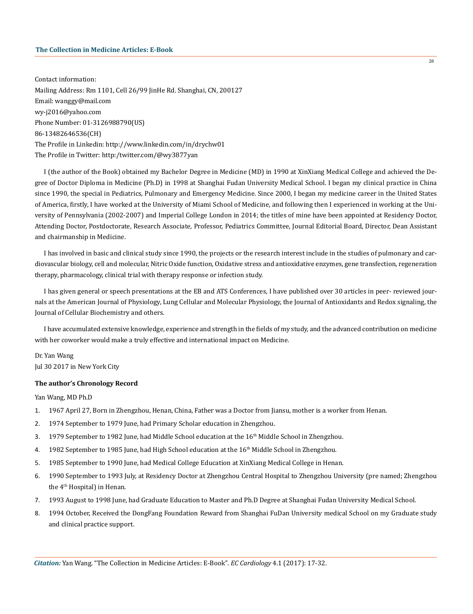# **The Collection in Medicine Articles: E-Book**

Contact information: Mailing Address: Rm 1101, Cell 26/99 JinHe Rd. Shanghai, CN, 200127 Email: wanggy@mail.com wy-j2016@yahoo.com Phone Number: 01-3126988790(US) 86-13482646536(CH) The Profile in Linkedin: http://www.linkedin.com/in/drychw01 The Profile in Twitter: http:/twitter.com/@wy3877yan

I (the author of the Book) obtained my Bachelor Degree in Medicine (MD) in 1990 at XinXiang Medical College and achieved the Degree of Doctor Diploma in Medicine (Ph.D) in 1998 at Shanghai Fudan University Medical School. I began my clinical practice in China since 1990, the special in Pediatrics, Pulmonary and Emergency Medicine. Since 2000, I began my medicine career in the United States of America, firstly, I have worked at the University of Miami School of Medicine, and following then I experienced in working at the University of Pennsylvania (2002-2007) and Imperial College London in 2014; the titles of mine have been appointed at Residency Doctor, Attending Doctor, Postdoctorate, Research Associate, Professor, Pediatrics Committee, Journal Editorial Board, Director, Dean Assistant and chairmanship in Medicine.

I has involved in basic and clinical study since 1990, the projects or the research interest include in the studies of pulmonary and cardiovascular biology, cell and molecular, Nitric Oxide function, Oxidative stress and antioxidative enzymes, gene transfection, regeneration therapy, pharmacology, clinical trial with therapy response or infection study.

I has given general or speech presentations at the EB and ATS Conferences, I have published over 30 articles in peer- reviewed journals at the American Journal of Physiology, Lung Cellular and Molecular Physiology, the Journal of Antioxidants and Redox signaling, the Journal of Cellular Biochemistry and others.

I have accumulated extensive knowledge, experience and strength in the fields of my study, and the advanced contribution on medicine with her coworker would make a truly effective and international impact on Medicine.

# Dr. Yan Wang

Jul 30 2017 in New York City

## **The author's Chronology Record**

# Yan Wang, MD Ph.D

- 1. 1967 April 27, Born in Zhengzhou, Henan, China, Father was a Doctor from Jiansu, mother is a worker from Henan.
- 2. 1974 September to 1979 June, had Primary Scholar education in Zhengzhou.
- 3. 1979 September to 1982 June, had Middle School education at the 16<sup>th</sup> Middle School in Zhengzhou.
- 4. 1982 September to 1985 June, had High School education at the 16<sup>th</sup> Middle School in Zhengzhou.
- 5. 1985 September to 1990 June, had Medical College Education at XinXiang Medical College in Henan.
- 6. 1990 September to 1993 July, at Residency Doctor at Zhengzhou Central Hospital to Zhengzhou University (pre named; Zhengzhou the 4th Hospital) in Henan.
- 7. 1993 August to 1998 June, had Graduate Education to Master and Ph.D Degree at Shanghai Fudan University Medical School.
- 8. 1994 October, Received the DongFang Foundation Reward from Shanghai FuDan University medical School on my Graduate study and clinical practice support.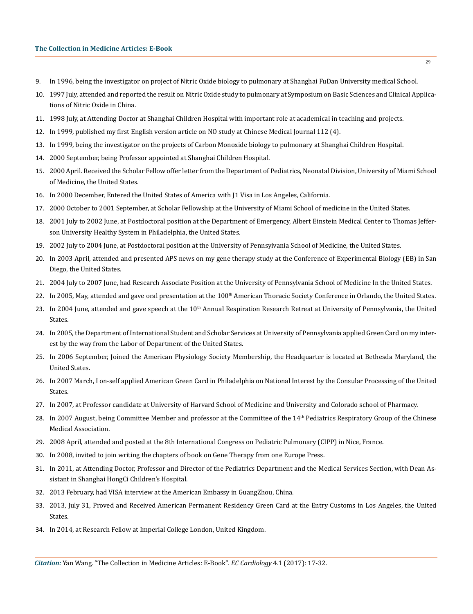#### **The Collection in Medicine Articles: E-Book**

- 9. In 1996, being the investigator on project of Nitric Oxide biology to pulmonary at Shanghai FuDan University medical School.
- 10. 1997 July, attended and reported the result on Nitric Oxide study to pulmonary at Symposium on Basic Sciences and Clinical Applications of Nitric Oxide in China.
- 11. 1998 July, at Attending Doctor at Shanghai Children Hospital with important role at academical in teaching and projects.
- 12. In 1999, published my first English version article on NO study at Chinese Medical Journal 112 (4).
- 13. In 1999, being the investigator on the projects of Carbon Monoxide biology to pulmonary at Shanghai Children Hospital.
- 14. 2000 September, being Professor appointed at Shanghai Children Hospital.
- 15. 2000 April. Received the Scholar Fellow offer letter from the Department of Pediatrics, Neonatal Division, University of Miami School of Medicine, the United States.
- 16. In 2000 December, Entered the United States of America with J1 Visa in Los Angeles, California.
- 17. 2000 October to 2001 September, at Scholar Fellowship at the University of Miami School of medicine in the United States.
- 18. 2001 July to 2002 June, at Postdoctoral position at the Department of Emergency, Albert Einstein Medical Center to Thomas Jefferson University Healthy System in Philadelphia, the United States.
- 19. 2002 July to 2004 June, at Postdoctoral position at the University of Pennsylvania School of Medicine, the United States.
- 20. In 2003 April, attended and presented APS news on my gene therapy study at the Conference of Experimental Biology (EB) in San Diego, the United States.
- 21. 2004 July to 2007 June, had Research Associate Position at the University of Pennsylvania School of Medicine In the United States.
- 22. In 2005, May, attended and gave oral presentation at the 100<sup>th</sup> American Thoracic Society Conference in Orlando, the United States.
- 23. In 2004 June, attended and gave speech at the  $10<sup>th</sup>$  Annual Respiration Research Retreat at University of Pennsylvania, the United States.
- 24. In 2005, the Department of International Student and Scholar Services at University of Pennsylvania applied Green Card on my interest by the way from the Labor of Department of the United States.
- 25. In 2006 September, Joined the American Physiology Society Membership, the Headquarter is located at Bethesda Maryland, the United States.
- 26. In 2007 March, I on-self applied American Green Card in Philadelphia on National Interest by the Consular Processing of the United States.
- 27. In 2007, at Professor candidate at University of Harvard School of Medicine and University and Colorado school of Pharmacy.
- 28. In 2007 August, being Committee Member and professor at the Committee of the 14th Pediatrics Respiratory Group of the Chinese Medical Association.
- 29. 2008 April, attended and posted at the 8th International Congress on Pediatric Pulmonary (CIPP) in Nice, France.
- 30. In 2008, invited to join writing the chapters of book on Gene Therapy from one Europe Press.
- 31. In 2011, at Attending Doctor, Professor and Director of the Pediatrics Department and the Medical Services Section, with Dean Assistant in Shanghai HongCi Children's Hospital.
- 32. 2013 February, had VISA interview at the American Embassy in GuangZhou, China.
- 33. 2013, July 31, Proved and Received American Permanent Residency Green Card at the Entry Customs in Los Angeles, the United States.
- 34. In 2014, at Research Fellow at Imperial College London, United Kingdom.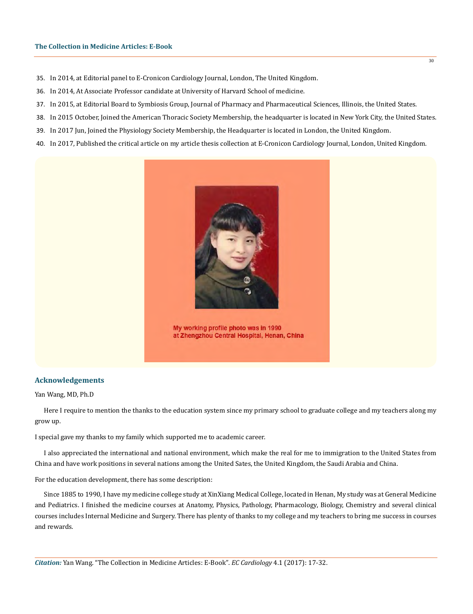- 35. In 2014, at Editorial panel to E-Cronicon Cardiology Journal, London, The United Kingdom.
- 36. In 2014, At Associate Professor candidate at University of Harvard School of medicine.
- 37. In 2015, at Editorial Board to Symbiosis Group, Journal of Pharmacy and Pharmaceutical Sciences, Illinois, the United States.
- 38. In 2015 October, Joined the American Thoracic Society Membership, the headquarter is located in New York City, the United States.

 $\overline{30}$ 

- 39. In 2017 Jun, Joined the Physiology Society Membership, the Headquarter is located in London, the United Kingdom.
- 40. In 2017, Published the critical article on my article thesis collection at E-Cronicon Cardiology Journal, London, United Kingdom.



My working profile photo was in 1990 at Zhengzhou Central Hospital, Henan, China

# **Acknowledgements**

#### Yan Wang, MD, Ph.D

Here I require to mention the thanks to the education system since my primary school to graduate college and my teachers along my grow up.

I special gave my thanks to my family which supported me to academic career.

I also appreciated the international and national environment, which make the real for me to immigration to the United States from China and have work positions in several nations among the United Sates, the United Kingdom, the Saudi Arabia and China.

For the education development, there has some description:

Since 1885 to 1990, I have my medicine college study at XinXiang Medical College, located in Henan, My study was at General Medicine and Pediatrics. I finished the medicine courses at Anatomy, Physics, Pathology, Pharmacology, Biology, Chemistry and several clinical courses includes Internal Medicine and Surgery. There has plenty of thanks to my college and my teachers to bring me success in courses and rewards.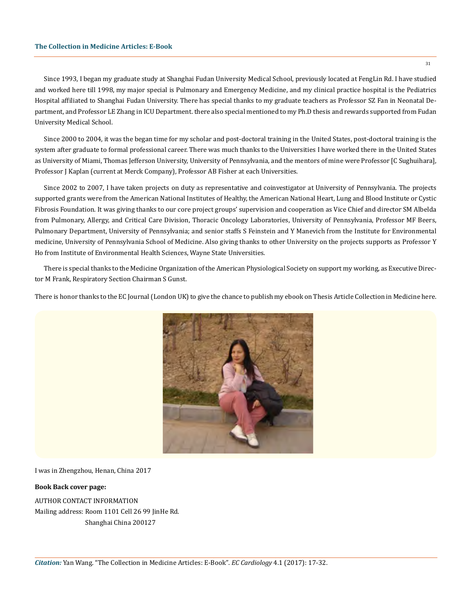Since 1993, I began my graduate study at Shanghai Fudan University Medical School, previously located at FengLin Rd. I have studied and worked here till 1998, my major special is Pulmonary and Emergency Medicine, and my clinical practice hospital is the Pediatrics Hospital affiliated to Shanghai Fudan University. There has special thanks to my graduate teachers as Professor SZ Fan in Neonatal Department, and Professor LE Zhang in ICU Department. there also special mentioned to my Ph.D thesis and rewards supported from Fudan University Medical School.

Since 2000 to 2004, it was the began time for my scholar and post-doctoral training in the United States, post-doctoral training is the system after graduate to formal professional career. There was much thanks to the Universities I have worked there in the United States as University of Miami, Thomas Jefferson University, University of Pennsylvania, and the mentors of mine were Professor [C Sughuihara], Professor J Kaplan (current at Merck Company), Professor AB Fisher at each Universities.

Since 2002 to 2007, I have taken projects on duty as representative and coinvestigator at University of Pennsylvania. The projects supported grants were from the American National Institutes of Healthy, the American National Heart, Lung and Blood Institute or Cystic Fibrosis Foundation. It was giving thanks to our core project groups' supervision and cooperation as Vice Chief and director SM Albelda from Pulmonary, Allergy, and Critical Care Division, Thoracic Oncology Laboratories, University of Pennsylvania, Professor MF Beers, Pulmonary Department, University of Pennsylvania; and senior staffs S Feinstein and Y Manevich from the Institute for Environmental medicine, University of Pennsylvania School of Medicine. Also giving thanks to other University on the projects supports as Professor Y Ho from Institute of Environmental Health Sciences, Wayne State Universities.

There is special thanks to the Medicine Organization of the American Physiological Society on support my working, as Executive Director M Frank, Respiratory Section Chairman S Gunst.

There is honor thanks to the EC Journal (London UK) to give the chance to publish my ebook on Thesis Article Collection in Medicine here.



I was in Zhengzhou, Henan, China 2017

#### **Book Back cover page:**

AUTHOR CONTACT INFORMATION Mailing address: Room 1101 Cell 26 99 JinHe Rd. Shanghai China 200127